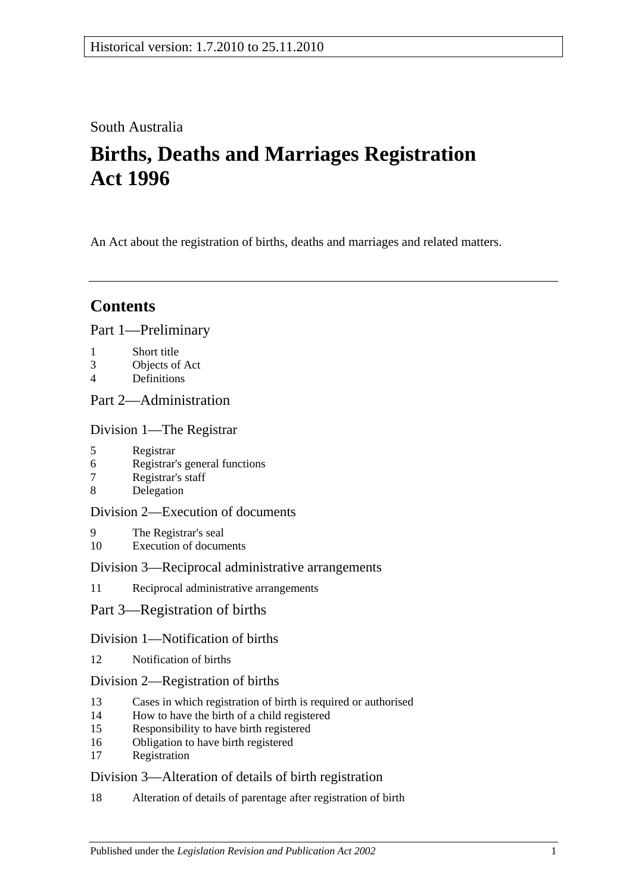## South Australia

# **Births, Deaths and Marriages Registration Act 1996**

An Act about the registration of births, deaths and marriages and related matters.

## **Contents**

[Part 1—Preliminary](#page-2-0)

- 1 [Short title](#page-2-1)
- 3 [Objects of Act](#page-2-2)
- 4 [Definitions](#page-3-0)

## [Part 2—Administration](#page-4-0)

[Division 1—The Registrar](#page-4-1)

- 5 [Registrar](#page-4-2)
- 6 [Registrar's general functions](#page-4-3)
- 7 [Registrar's staff](#page-4-4)
- 8 [Delegation](#page-5-0)

### [Division 2—Execution of documents](#page-5-1)

- 9 [The Registrar's seal](#page-5-2)
- 10 [Execution of documents](#page-5-3)

### [Division 3—Reciprocal administrative arrangements](#page-5-4)

- 11 [Reciprocal administrative arrangements](#page-5-5)
- [Part 3—Registration of births](#page-6-0)

### [Division 1—Notification of births](#page-6-1)

12 [Notification of births](#page-6-2)

### [Division 2—Registration of births](#page-6-3)

- 13 [Cases in which registration of birth is required or authorised](#page-6-4)
- 14 [How to have the birth of a child registered](#page-7-0)
- 15 [Responsibility to have birth registered](#page-7-1)
- 16 [Obligation to have birth registered](#page-7-2)
- 17 [Registration](#page-7-3)

## [Division 3—Alteration of details of birth registration](#page-8-0)

18 [Alteration of details of parentage after registration of birth](#page-8-1)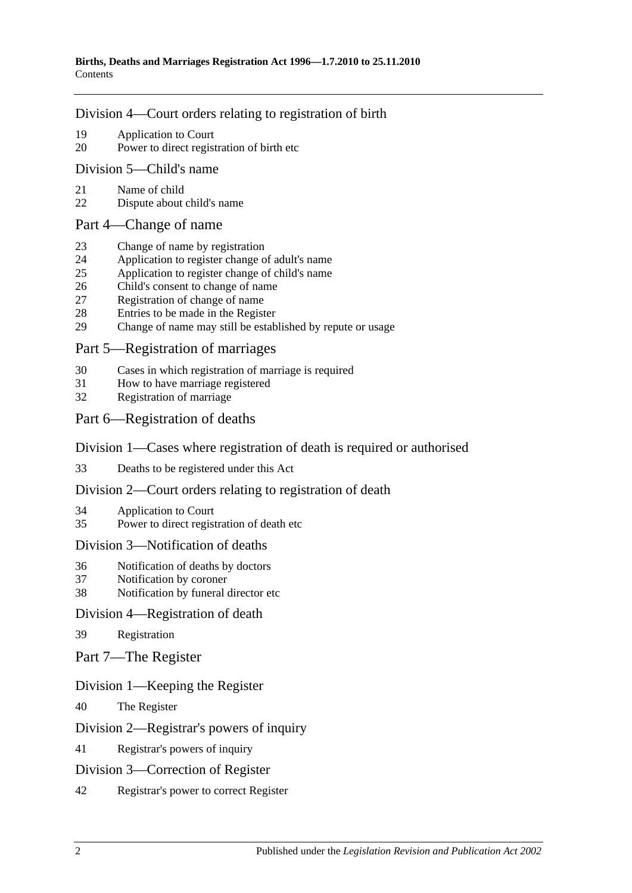#### [Division 4—Court orders relating to registration of birth](#page-8-2)

- 19 [Application to Court](#page-8-3)
- 20 [Power to direct registration of birth etc](#page-8-4)

#### [Division 5—Child's name](#page-9-0)

- 21 [Name of child](#page-9-1)
- 22 [Dispute about child's name](#page-9-2)

#### [Part 4—Change of name](#page-9-3)

- 23 [Change of name by registration](#page-9-4)
- 24 [Application to register change of adult's name](#page-9-5)
- 25 [Application to register change of child's name](#page-9-6)
- 26 [Child's consent to change of name](#page-10-0)
- 27 [Registration of change of name](#page-10-1)
- 28 [Entries to be made in the Register](#page-10-2)<br>29 Change of name may still be estable
- [Change of name may still be established by repute or usage](#page-11-0)

### [Part 5—Registration of marriages](#page-11-1)

- 30 [Cases in which registration of marriage is required](#page-11-2)
- 31 [How to have marriage registered](#page-11-3)
- 32 [Registration of marriage](#page-11-4)

### [Part 6—Registration of deaths](#page-11-5)

### [Division 1—Cases where registration of death is required or authorised](#page-11-6)

33 [Deaths to be registered under this Act](#page-11-7)

#### [Division 2—Court orders relating to registration of death](#page-12-0)

- 34 [Application to Court](#page-12-1)
- 35 [Power to direct registration of death etc](#page-12-2)

#### [Division 3—Notification of deaths](#page-12-3)

- 36 [Notification of deaths by doctors](#page-12-4)
- 37 [Notification by coroner](#page-13-0)
- 38 [Notification by funeral director etc](#page-13-1)

#### [Division 4—Registration of death](#page-14-0)

- 39 [Registration](#page-14-1)
- [Part 7—The Register](#page-14-2)

#### [Division 1—Keeping the Register](#page-14-3)

40 [The Register](#page-14-4)

### [Division 2—Registrar's powers of inquiry](#page-14-5)

41 [Registrar's powers of inquiry](#page-14-6)

#### [Division 3—Correction of Register](#page-15-0)

42 [Registrar's power to correct Register](#page-15-1)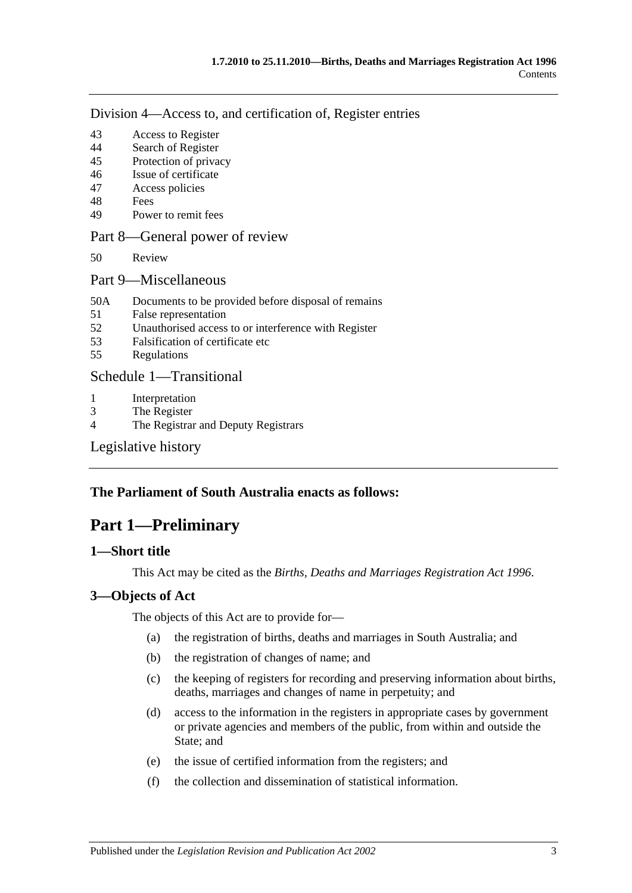[Division 4—Access to, and certification of, Register entries](#page-15-2)

- 43 [Access to Register](#page-15-3)
- 44 [Search of Register](#page-15-4)
- 45 [Protection of privacy](#page-16-0)
- 46 [Issue of certificate](#page-16-1)
- 47 [Access policies](#page-16-2)
- 48 [Fees](#page-16-3)
- 49 [Power to remit fees](#page-16-4)

### [Part 8—General power of review](#page-17-0)

- 50 [Review](#page-17-1)
- [Part 9—Miscellaneous](#page-17-2)
- 50A [Documents to be provided before disposal of remains](#page-17-3)
- 51 [False representation](#page-18-0)
- 52 [Unauthorised access to or interference with Register](#page-18-1)
- 53 [Falsification of certificate etc](#page-18-2)
- 55 [Regulations](#page-18-3)

### [Schedule 1—Transitional](#page-18-4)

- 1 [Interpretation](#page-18-5)
- 3 [The Register](#page-19-0)
- 4 [The Registrar and Deputy Registrars](#page-19-1)

[Legislative history](#page-20-0)

### <span id="page-2-0"></span>**The Parliament of South Australia enacts as follows:**

## **Part 1—Preliminary**

#### <span id="page-2-1"></span>**1—Short title**

This Act may be cited as the *Births, Deaths and Marriages Registration Act 1996*.

### <span id="page-2-2"></span>**3—Objects of Act**

The objects of this Act are to provide for—

- (a) the registration of births, deaths and marriages in South Australia; and
- (b) the registration of changes of name; and
- (c) the keeping of registers for recording and preserving information about births, deaths, marriages and changes of name in perpetuity; and
- (d) access to the information in the registers in appropriate cases by government or private agencies and members of the public, from within and outside the State; and
- (e) the issue of certified information from the registers; and
- (f) the collection and dissemination of statistical information.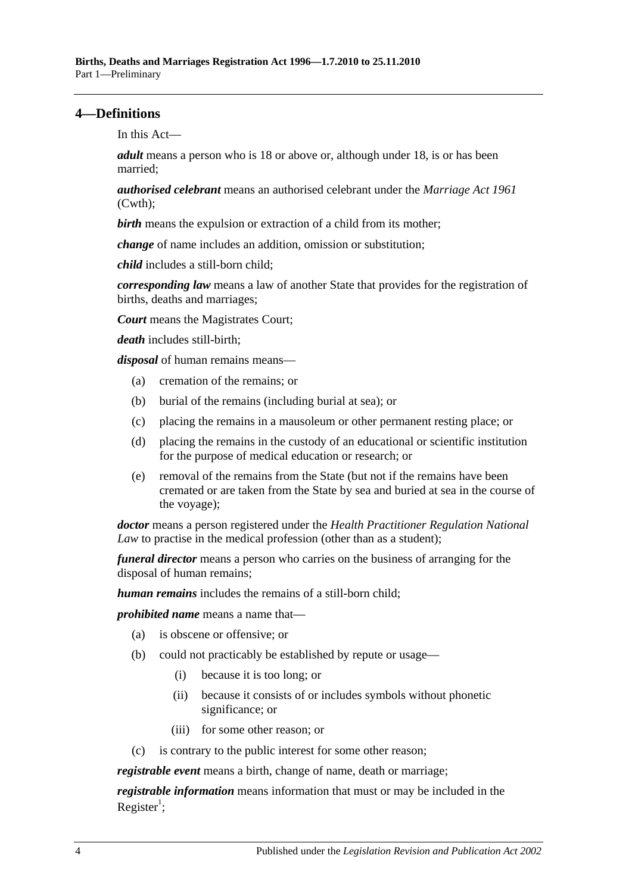### <span id="page-3-0"></span>**4—Definitions**

In this Act—

*adult* means a person who is 18 or above or, although under 18, is or has been married;

*authorised celebrant* means an authorised celebrant under the *Marriage Act 1961* (Cwth);

**birth** means the expulsion or extraction of a child from its mother;

*change* of name includes an addition, omission or substitution;

*child* includes a still-born child;

*corresponding law* means a law of another State that provides for the registration of births, deaths and marriages;

*Court* means the Magistrates Court;

*death* includes still-birth;

*disposal* of human remains means—

- (a) cremation of the remains; or
- (b) burial of the remains (including burial at sea); or
- (c) placing the remains in a mausoleum or other permanent resting place; or
- (d) placing the remains in the custody of an educational or scientific institution for the purpose of medical education or research; or
- (e) removal of the remains from the State (but not if the remains have been cremated or are taken from the State by sea and buried at sea in the course of the voyage);

*doctor* means a person registered under the *Health Practitioner Regulation National Law* to practise in the medical profession (other than as a student);

*funeral director* means a person who carries on the business of arranging for the disposal of human remains;

*human remains* includes the remains of a still-born child;

*prohibited name* means a name that—

- (a) is obscene or offensive; or
- (b) could not practicably be established by repute or usage—
	- (i) because it is too long; or
	- (ii) because it consists of or includes symbols without phonetic significance; or
	- (iii) for some other reason; or
- (c) is contrary to the public interest for some other reason;

*registrable event* means a birth, change of name, death or marriage;

*registrable information* means information that must or may be included in the Register<sup>1</sup>;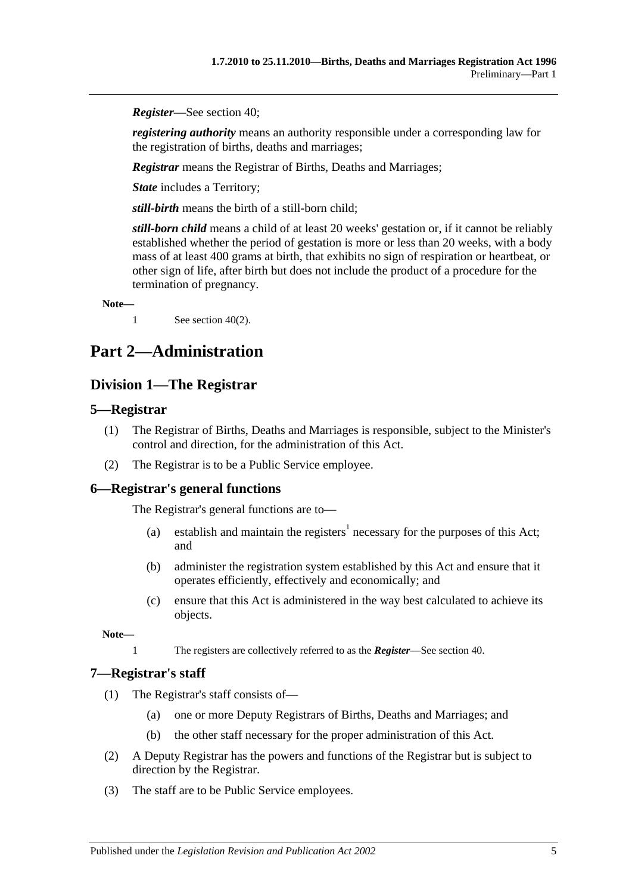*Register*—See [section](#page-14-4) 40;

*registering authority* means an authority responsible under a corresponding law for the registration of births, deaths and marriages;

*Registrar* means the Registrar of Births, Deaths and Marriages;

*State* includes a Territory;

*still-birth* means the birth of a still-born child;

*still-born child* means a child of at least 20 weeks' gestation or, if it cannot be reliably established whether the period of gestation is more or less than 20 weeks, with a body mass of at least 400 grams at birth, that exhibits no sign of respiration or heartbeat, or other sign of life, after birth but does not include the product of a procedure for the termination of pregnancy.

**Note—**

1 See [section](#page-14-7) 40(2).

# <span id="page-4-1"></span><span id="page-4-0"></span>**Part 2—Administration**

### **Division 1—The Registrar**

### <span id="page-4-2"></span>**5—Registrar**

- (1) The Registrar of Births, Deaths and Marriages is responsible, subject to the Minister's control and direction, for the administration of this Act.
- (2) The Registrar is to be a Public Service employee.

#### <span id="page-4-3"></span>**6—Registrar's general functions**

The Registrar's general functions are to—

- (a) establish and maintain the registers<sup>1</sup> necessary for the purposes of this Act; and
- (b) administer the registration system established by this Act and ensure that it operates efficiently, effectively and economically; and
- (c) ensure that this Act is administered in the way best calculated to achieve its objects.

**Note—**

1 The registers are collectively referred to as the *Register*—See [section](#page-14-4) 40.

#### <span id="page-4-4"></span>**7—Registrar's staff**

- (1) The Registrar's staff consists of—
	- (a) one or more Deputy Registrars of Births, Deaths and Marriages; and
	- (b) the other staff necessary for the proper administration of this Act.
- (2) A Deputy Registrar has the powers and functions of the Registrar but is subject to direction by the Registrar.
- (3) The staff are to be Public Service employees.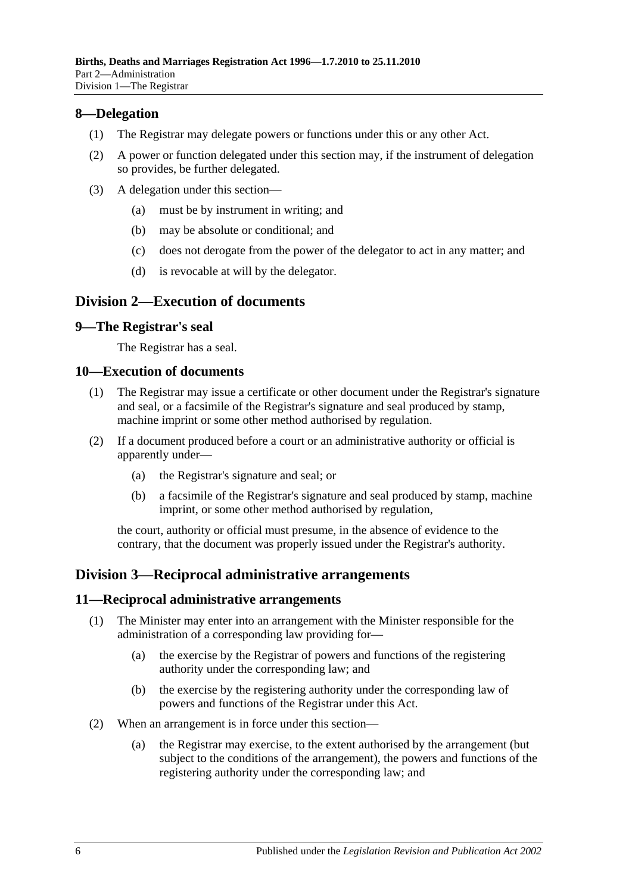### <span id="page-5-0"></span>**8—Delegation**

- (1) The Registrar may delegate powers or functions under this or any other Act.
- (2) A power or function delegated under this section may, if the instrument of delegation so provides, be further delegated.
- (3) A delegation under this section—
	- (a) must be by instrument in writing; and
	- (b) may be absolute or conditional; and
	- (c) does not derogate from the power of the delegator to act in any matter; and
	- (d) is revocable at will by the delegator.

### <span id="page-5-1"></span>**Division 2—Execution of documents**

### <span id="page-5-2"></span>**9—The Registrar's seal**

The Registrar has a seal.

#### <span id="page-5-3"></span>**10—Execution of documents**

- (1) The Registrar may issue a certificate or other document under the Registrar's signature and seal, or a facsimile of the Registrar's signature and seal produced by stamp, machine imprint or some other method authorised by regulation.
- (2) If a document produced before a court or an administrative authority or official is apparently under—
	- (a) the Registrar's signature and seal; or
	- (b) a facsimile of the Registrar's signature and seal produced by stamp, machine imprint, or some other method authorised by regulation,

the court, authority or official must presume, in the absence of evidence to the contrary, that the document was properly issued under the Registrar's authority.

## <span id="page-5-4"></span>**Division 3—Reciprocal administrative arrangements**

#### <span id="page-5-5"></span>**11—Reciprocal administrative arrangements**

- (1) The Minister may enter into an arrangement with the Minister responsible for the administration of a corresponding law providing for—
	- (a) the exercise by the Registrar of powers and functions of the registering authority under the corresponding law; and
	- (b) the exercise by the registering authority under the corresponding law of powers and functions of the Registrar under this Act.
- (2) When an arrangement is in force under this section—
	- (a) the Registrar may exercise, to the extent authorised by the arrangement (but subject to the conditions of the arrangement), the powers and functions of the registering authority under the corresponding law; and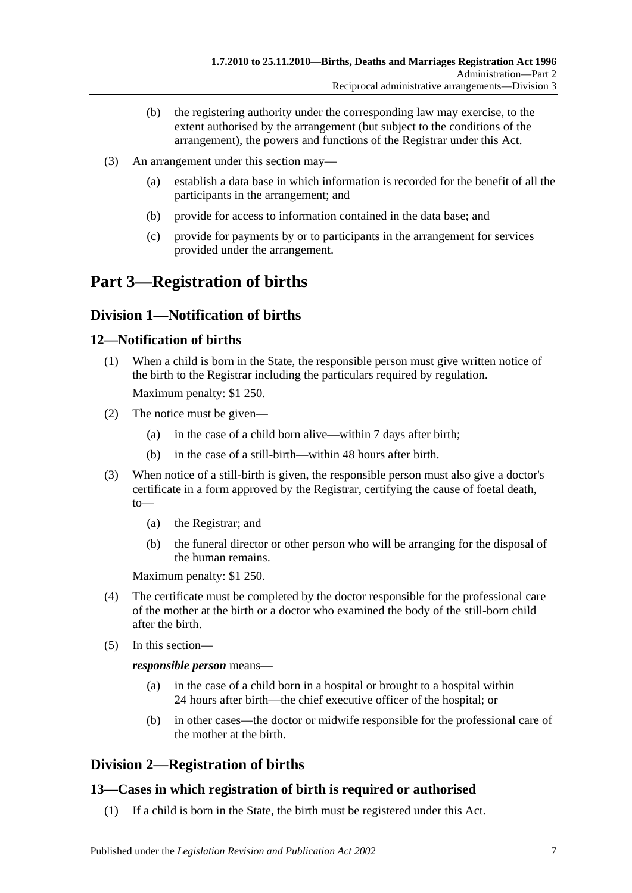- (b) the registering authority under the corresponding law may exercise, to the extent authorised by the arrangement (but subject to the conditions of the arrangement), the powers and functions of the Registrar under this Act.
- (3) An arrangement under this section may—
	- (a) establish a data base in which information is recorded for the benefit of all the participants in the arrangement; and
	- (b) provide for access to information contained in the data base; and
	- (c) provide for payments by or to participants in the arrangement for services provided under the arrangement.

# <span id="page-6-0"></span>**Part 3—Registration of births**

## <span id="page-6-1"></span>**Division 1—Notification of births**

### <span id="page-6-2"></span>**12—Notification of births**

(1) When a child is born in the State, the responsible person must give written notice of the birth to the Registrar including the particulars required by regulation.

Maximum penalty: \$1 250.

- (2) The notice must be given—
	- (a) in the case of a child born alive—within 7 days after birth;
	- (b) in the case of a still-birth—within 48 hours after birth.
- (3) When notice of a still-birth is given, the responsible person must also give a doctor's certificate in a form approved by the Registrar, certifying the cause of foetal death, to—
	- (a) the Registrar; and
	- (b) the funeral director or other person who will be arranging for the disposal of the human remains.

Maximum penalty: \$1 250.

- (4) The certificate must be completed by the doctor responsible for the professional care of the mother at the birth or a doctor who examined the body of the still-born child after the birth.
- (5) In this section—

*responsible person* means—

- (a) in the case of a child born in a hospital or brought to a hospital within 24 hours after birth—the chief executive officer of the hospital; or
- (b) in other cases—the doctor or midwife responsible for the professional care of the mother at the birth.

## <span id="page-6-3"></span>**Division 2—Registration of births**

## <span id="page-6-4"></span>**13—Cases in which registration of birth is required or authorised**

(1) If a child is born in the State, the birth must be registered under this Act.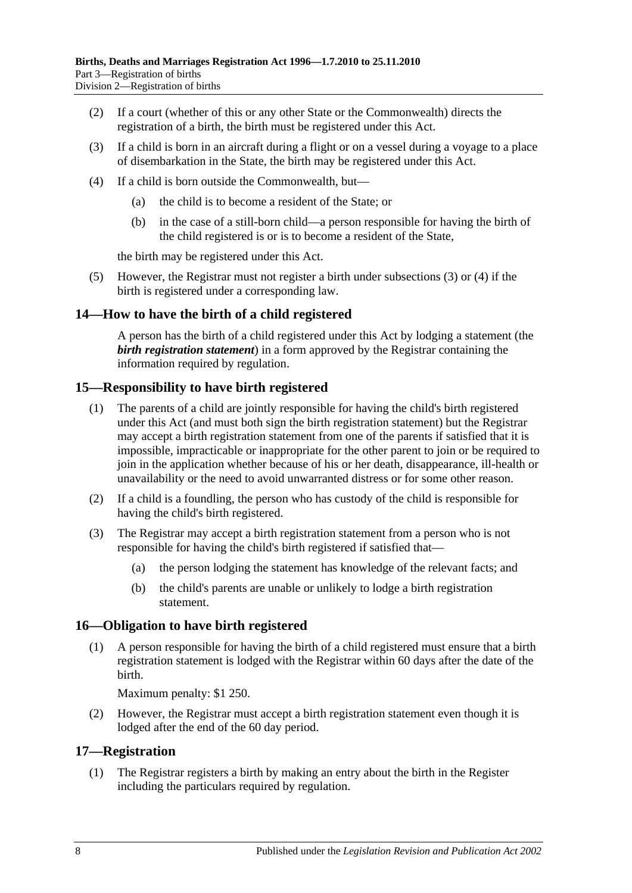- (2) If a court (whether of this or any other State or the Commonwealth) directs the registration of a birth, the birth must be registered under this Act.
- <span id="page-7-4"></span>(3) If a child is born in an aircraft during a flight or on a vessel during a voyage to a place of disembarkation in the State, the birth may be registered under this Act.
- <span id="page-7-5"></span>(4) If a child is born outside the Commonwealth, but—
	- (a) the child is to become a resident of the State; or
	- (b) in the case of a still-born child—a person responsible for having the birth of the child registered is or is to become a resident of the State,

the birth may be registered under this Act.

(5) However, the Registrar must not register a birth under [subsections](#page-7-4) (3) or [\(4\)](#page-7-5) if the birth is registered under a corresponding law.

### <span id="page-7-0"></span>**14—How to have the birth of a child registered**

A person has the birth of a child registered under this Act by lodging a statement (the *birth registration statement*) in a form approved by the Registrar containing the information required by regulation.

### <span id="page-7-1"></span>**15—Responsibility to have birth registered**

- (1) The parents of a child are jointly responsible for having the child's birth registered under this Act (and must both sign the birth registration statement) but the Registrar may accept a birth registration statement from one of the parents if satisfied that it is impossible, impracticable or inappropriate for the other parent to join or be required to join in the application whether because of his or her death, disappearance, ill-health or unavailability or the need to avoid unwarranted distress or for some other reason.
- (2) If a child is a foundling, the person who has custody of the child is responsible for having the child's birth registered.
- (3) The Registrar may accept a birth registration statement from a person who is not responsible for having the child's birth registered if satisfied that—
	- (a) the person lodging the statement has knowledge of the relevant facts; and
	- (b) the child's parents are unable or unlikely to lodge a birth registration statement.

#### <span id="page-7-2"></span>**16—Obligation to have birth registered**

(1) A person responsible for having the birth of a child registered must ensure that a birth registration statement is lodged with the Registrar within 60 days after the date of the birth.

Maximum penalty: \$1 250.

(2) However, the Registrar must accept a birth registration statement even though it is lodged after the end of the 60 day period.

#### <span id="page-7-3"></span>**17—Registration**

(1) The Registrar registers a birth by making an entry about the birth in the Register including the particulars required by regulation.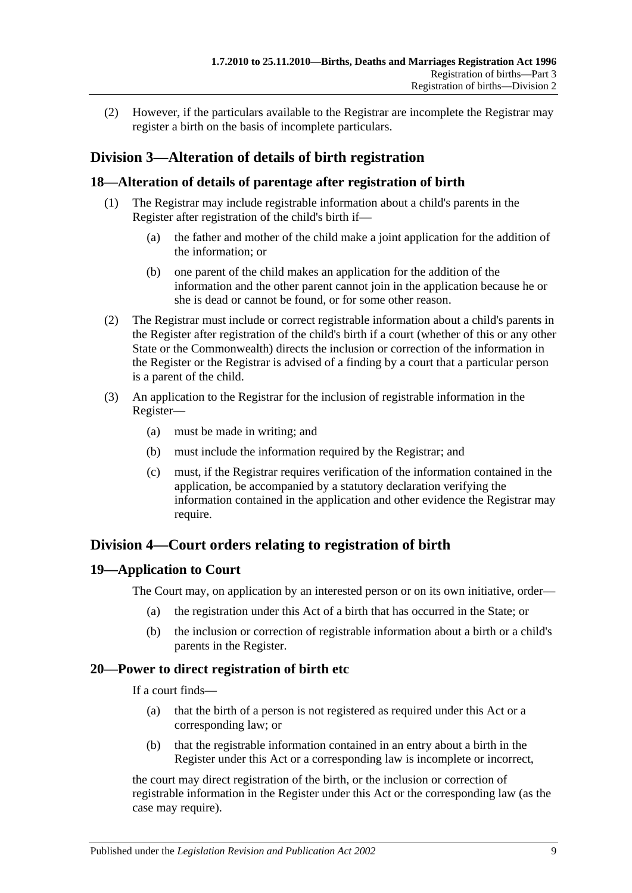(2) However, if the particulars available to the Registrar are incomplete the Registrar may register a birth on the basis of incomplete particulars.

## <span id="page-8-0"></span>**Division 3—Alteration of details of birth registration**

### <span id="page-8-1"></span>**18—Alteration of details of parentage after registration of birth**

- (1) The Registrar may include registrable information about a child's parents in the Register after registration of the child's birth if—
	- (a) the father and mother of the child make a joint application for the addition of the information; or
	- (b) one parent of the child makes an application for the addition of the information and the other parent cannot join in the application because he or she is dead or cannot be found, or for some other reason.
- (2) The Registrar must include or correct registrable information about a child's parents in the Register after registration of the child's birth if a court (whether of this or any other State or the Commonwealth) directs the inclusion or correction of the information in the Register or the Registrar is advised of a finding by a court that a particular person is a parent of the child.
- (3) An application to the Registrar for the inclusion of registrable information in the Register—
	- (a) must be made in writing; and
	- (b) must include the information required by the Registrar; and
	- (c) must, if the Registrar requires verification of the information contained in the application, be accompanied by a statutory declaration verifying the information contained in the application and other evidence the Registrar may require.

## <span id="page-8-2"></span>**Division 4—Court orders relating to registration of birth**

### <span id="page-8-3"></span>**19—Application to Court**

The Court may, on application by an interested person or on its own initiative, order—

- (a) the registration under this Act of a birth that has occurred in the State; or
- (b) the inclusion or correction of registrable information about a birth or a child's parents in the Register.

### <span id="page-8-4"></span>**20—Power to direct registration of birth etc**

If a court finds—

- (a) that the birth of a person is not registered as required under this Act or a corresponding law; or
- (b) that the registrable information contained in an entry about a birth in the Register under this Act or a corresponding law is incomplete or incorrect,

the court may direct registration of the birth, or the inclusion or correction of registrable information in the Register under this Act or the corresponding law (as the case may require).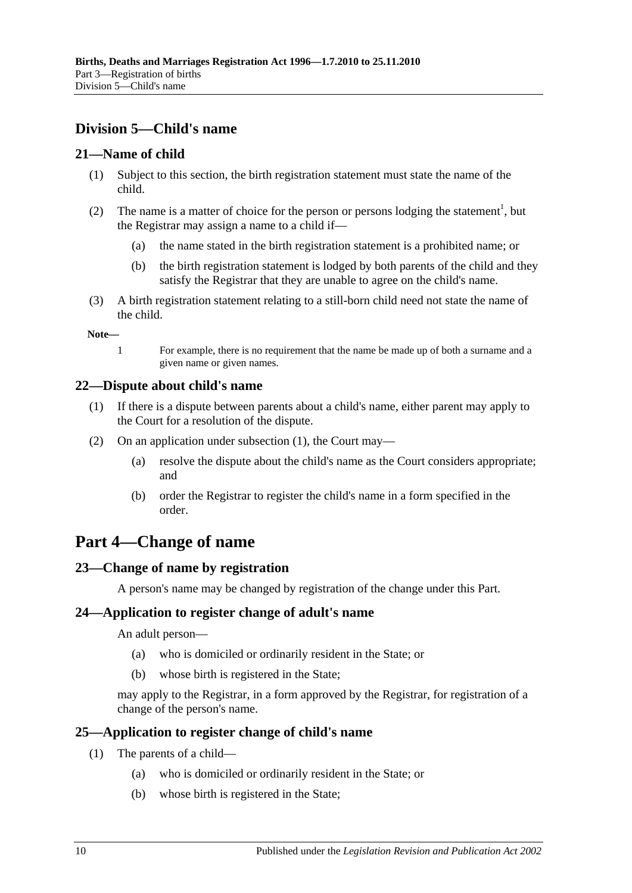## <span id="page-9-0"></span>**Division 5—Child's name**

### <span id="page-9-1"></span>**21—Name of child**

- (1) Subject to this section, the birth registration statement must state the name of the child.
- (2) The name is a matter of choice for the person or persons lodging the statement<sup>1</sup>, but the Registrar may assign a name to a child if—
	- (a) the name stated in the birth registration statement is a prohibited name; or
	- (b) the birth registration statement is lodged by both parents of the child and they satisfy the Registrar that they are unable to agree on the child's name.
- (3) A birth registration statement relating to a still-born child need not state the name of the child.

**Note—**

1 For example, there is no requirement that the name be made up of both a surname and a given name or given names.

### <span id="page-9-7"></span><span id="page-9-2"></span>**22—Dispute about child's name**

- (1) If there is a dispute between parents about a child's name, either parent may apply to the Court for a resolution of the dispute.
- (2) On an application under [subsection](#page-9-7) (1), the Court may—
	- (a) resolve the dispute about the child's name as the Court considers appropriate; and
	- (b) order the Registrar to register the child's name in a form specified in the order.

## <span id="page-9-3"></span>**Part 4—Change of name**

## <span id="page-9-4"></span>**23—Change of name by registration**

A person's name may be changed by registration of the change under this Part.

### <span id="page-9-5"></span>**24—Application to register change of adult's name**

An adult person—

- (a) who is domiciled or ordinarily resident in the State; or
- (b) whose birth is registered in the State;

may apply to the Registrar, in a form approved by the Registrar, for registration of a change of the person's name.

### <span id="page-9-6"></span>**25—Application to register change of child's name**

- (1) The parents of a child—
	- (a) who is domiciled or ordinarily resident in the State; or
	- (b) whose birth is registered in the State;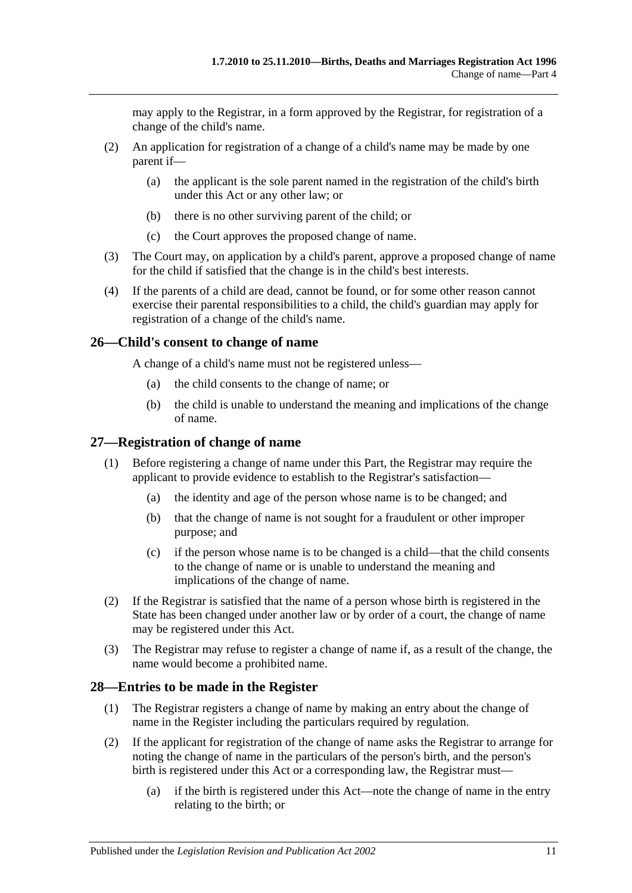may apply to the Registrar, in a form approved by the Registrar, for registration of a change of the child's name.

- (2) An application for registration of a change of a child's name may be made by one parent if—
	- (a) the applicant is the sole parent named in the registration of the child's birth under this Act or any other law; or
	- (b) there is no other surviving parent of the child; or
	- (c) the Court approves the proposed change of name.
- (3) The Court may, on application by a child's parent, approve a proposed change of name for the child if satisfied that the change is in the child's best interests.
- (4) If the parents of a child are dead, cannot be found, or for some other reason cannot exercise their parental responsibilities to a child, the child's guardian may apply for registration of a change of the child's name.

### <span id="page-10-0"></span>**26—Child's consent to change of name**

A change of a child's name must not be registered unless—

- (a) the child consents to the change of name; or
- (b) the child is unable to understand the meaning and implications of the change of name.

### <span id="page-10-1"></span>**27—Registration of change of name**

- (1) Before registering a change of name under this Part, the Registrar may require the applicant to provide evidence to establish to the Registrar's satisfaction—
	- (a) the identity and age of the person whose name is to be changed; and
	- (b) that the change of name is not sought for a fraudulent or other improper purpose; and
	- (c) if the person whose name is to be changed is a child—that the child consents to the change of name or is unable to understand the meaning and implications of the change of name.
- (2) If the Registrar is satisfied that the name of a person whose birth is registered in the State has been changed under another law or by order of a court, the change of name may be registered under this Act.
- (3) The Registrar may refuse to register a change of name if, as a result of the change, the name would become a prohibited name.

### <span id="page-10-2"></span>**28—Entries to be made in the Register**

- (1) The Registrar registers a change of name by making an entry about the change of name in the Register including the particulars required by regulation.
- <span id="page-10-3"></span>(2) If the applicant for registration of the change of name asks the Registrar to arrange for noting the change of name in the particulars of the person's birth, and the person's birth is registered under this Act or a corresponding law, the Registrar must—
	- (a) if the birth is registered under this Act—note the change of name in the entry relating to the birth; or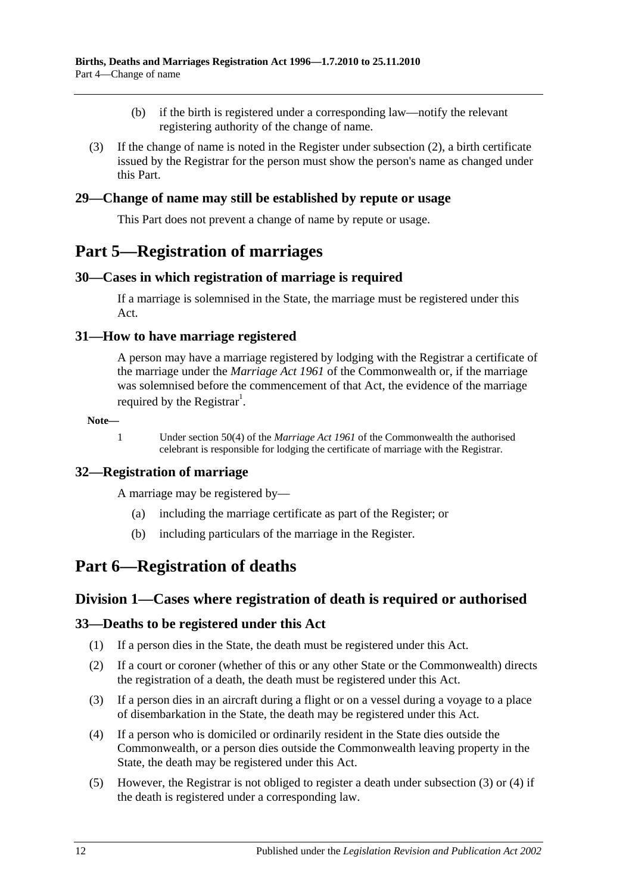- (b) if the birth is registered under a corresponding law—notify the relevant registering authority of the change of name.
- (3) If the change of name is noted in the Register under [subsection](#page-10-3) (2), a birth certificate issued by the Registrar for the person must show the person's name as changed under this Part.

### <span id="page-11-0"></span>**29—Change of name may still be established by repute or usage**

This Part does not prevent a change of name by repute or usage.

## <span id="page-11-1"></span>**Part 5—Registration of marriages**

### <span id="page-11-2"></span>**30—Cases in which registration of marriage is required**

If a marriage is solemnised in the State, the marriage must be registered under this Act.

### <span id="page-11-3"></span>**31—How to have marriage registered**

A person may have a marriage registered by lodging with the Registrar a certificate of the marriage under the *Marriage Act 1961* of the Commonwealth or, if the marriage was solemnised before the commencement of that Act, the evidence of the marriage required by the Registrar<sup>1</sup>.

#### **Note—**

1 Under section 50(4) of the *Marriage Act 1961* of the Commonwealth the authorised celebrant is responsible for lodging the certificate of marriage with the Registrar.

### <span id="page-11-4"></span>**32—Registration of marriage**

A marriage may be registered by—

- (a) including the marriage certificate as part of the Register; or
- (b) including particulars of the marriage in the Register.

## <span id="page-11-6"></span><span id="page-11-5"></span>**Part 6—Registration of deaths**

### **Division 1—Cases where registration of death is required or authorised**

### <span id="page-11-7"></span>**33—Deaths to be registered under this Act**

- (1) If a person dies in the State, the death must be registered under this Act.
- (2) If a court or coroner (whether of this or any other State or the Commonwealth) directs the registration of a death, the death must be registered under this Act.
- <span id="page-11-8"></span>(3) If a person dies in an aircraft during a flight or on a vessel during a voyage to a place of disembarkation in the State, the death may be registered under this Act.
- <span id="page-11-9"></span>(4) If a person who is domiciled or ordinarily resident in the State dies outside the Commonwealth, or a person dies outside the Commonwealth leaving property in the State, the death may be registered under this Act.
- (5) However, the Registrar is not obliged to register a death under [subsection](#page-11-8) (3) or [\(4\)](#page-11-9) if the death is registered under a corresponding law.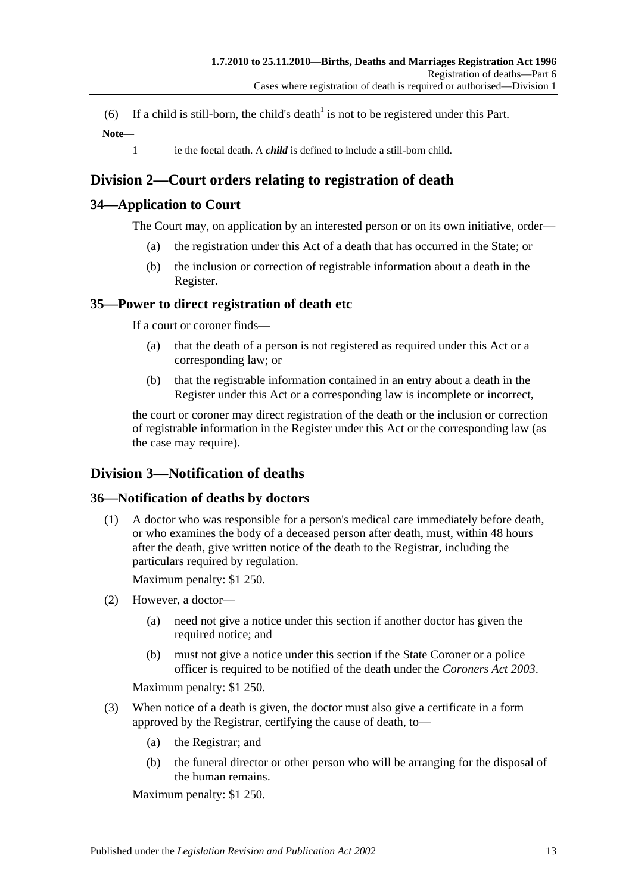(6) If a child is still-born, the child's death<sup>1</sup> is not to be registered under this Part. **Note—**

1 ie the foetal death. A *child* is defined to include a still-born child.

## <span id="page-12-0"></span>**Division 2—Court orders relating to registration of death**

### <span id="page-12-1"></span>**34—Application to Court**

The Court may, on application by an interested person or on its own initiative, order—

- (a) the registration under this Act of a death that has occurred in the State; or
- (b) the inclusion or correction of registrable information about a death in the Register.

### <span id="page-12-2"></span>**35—Power to direct registration of death etc**

If a court or coroner finds—

- (a) that the death of a person is not registered as required under this Act or a corresponding law; or
- (b) that the registrable information contained in an entry about a death in the Register under this Act or a corresponding law is incomplete or incorrect,

the court or coroner may direct registration of the death or the inclusion or correction of registrable information in the Register under this Act or the corresponding law (as the case may require).

## <span id="page-12-3"></span>**Division 3—Notification of deaths**

### <span id="page-12-4"></span>**36—Notification of deaths by doctors**

(1) A doctor who was responsible for a person's medical care immediately before death, or who examines the body of a deceased person after death, must, within 48 hours after the death, give written notice of the death to the Registrar, including the particulars required by regulation.

Maximum penalty: \$1 250.

- (2) However, a doctor—
	- (a) need not give a notice under this section if another doctor has given the required notice; and
	- (b) must not give a notice under this section if the State Coroner or a police officer is required to be notified of the death under the *[Coroners Act](http://www.legislation.sa.gov.au/index.aspx?action=legref&type=act&legtitle=Coroners%20Act%202003) 2003*.

Maximum penalty: \$1 250.

- (3) When notice of a death is given, the doctor must also give a certificate in a form approved by the Registrar, certifying the cause of death, to—
	- (a) the Registrar; and
	- (b) the funeral director or other person who will be arranging for the disposal of the human remains.

Maximum penalty: \$1 250.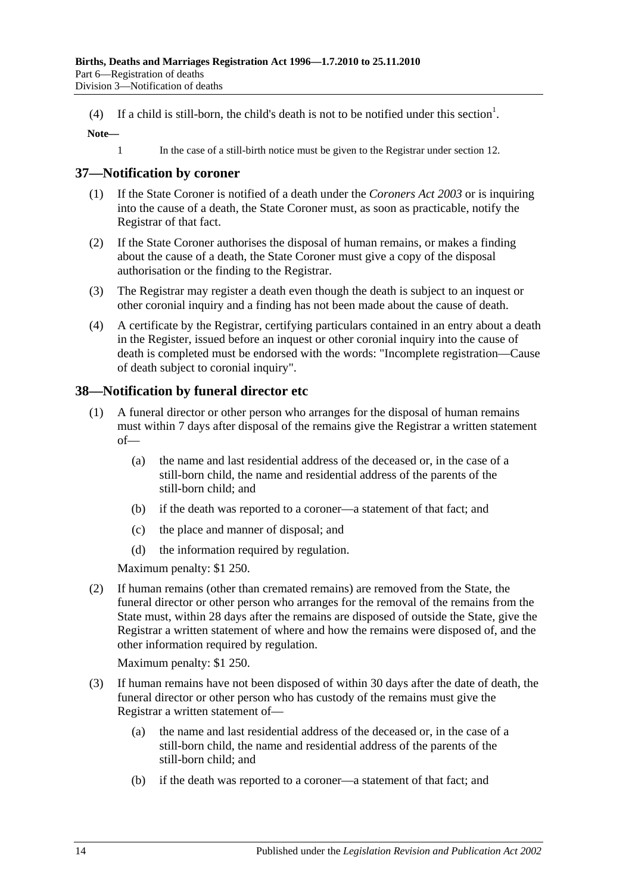(4) If a child is still-born, the child's death is not to be notified under this section<sup>1</sup>.

#### **Note—**

1 In the case of a still-birth notice must be given to the Registrar under [section](#page-6-2) 12.

### <span id="page-13-0"></span>**37—Notification by coroner**

- (1) If the State Coroner is notified of a death under the *[Coroners Act](http://www.legislation.sa.gov.au/index.aspx?action=legref&type=act&legtitle=Coroners%20Act%202003) 2003* or is inquiring into the cause of a death, the State Coroner must, as soon as practicable, notify the Registrar of that fact.
- (2) If the State Coroner authorises the disposal of human remains, or makes a finding about the cause of a death, the State Coroner must give a copy of the disposal authorisation or the finding to the Registrar.
- (3) The Registrar may register a death even though the death is subject to an inquest or other coronial inquiry and a finding has not been made about the cause of death.
- (4) A certificate by the Registrar, certifying particulars contained in an entry about a death in the Register, issued before an inquest or other coronial inquiry into the cause of death is completed must be endorsed with the words: "Incomplete registration—Cause of death subject to coronial inquiry".

### <span id="page-13-1"></span>**38—Notification by funeral director etc**

- (1) A funeral director or other person who arranges for the disposal of human remains must within 7 days after disposal of the remains give the Registrar a written statement of—
	- (a) the name and last residential address of the deceased or, in the case of a still-born child, the name and residential address of the parents of the still-born child; and
	- (b) if the death was reported to a coroner—a statement of that fact; and
	- (c) the place and manner of disposal; and
	- (d) the information required by regulation.

Maximum penalty: \$1 250.

(2) If human remains (other than cremated remains) are removed from the State, the funeral director or other person who arranges for the removal of the remains from the State must, within 28 days after the remains are disposed of outside the State, give the Registrar a written statement of where and how the remains were disposed of, and the other information required by regulation.

Maximum penalty: \$1 250.

- (3) If human remains have not been disposed of within 30 days after the date of death, the funeral director or other person who has custody of the remains must give the Registrar a written statement of—
	- (a) the name and last residential address of the deceased or, in the case of a still-born child, the name and residential address of the parents of the still-born child; and
	- (b) if the death was reported to a coroner—a statement of that fact; and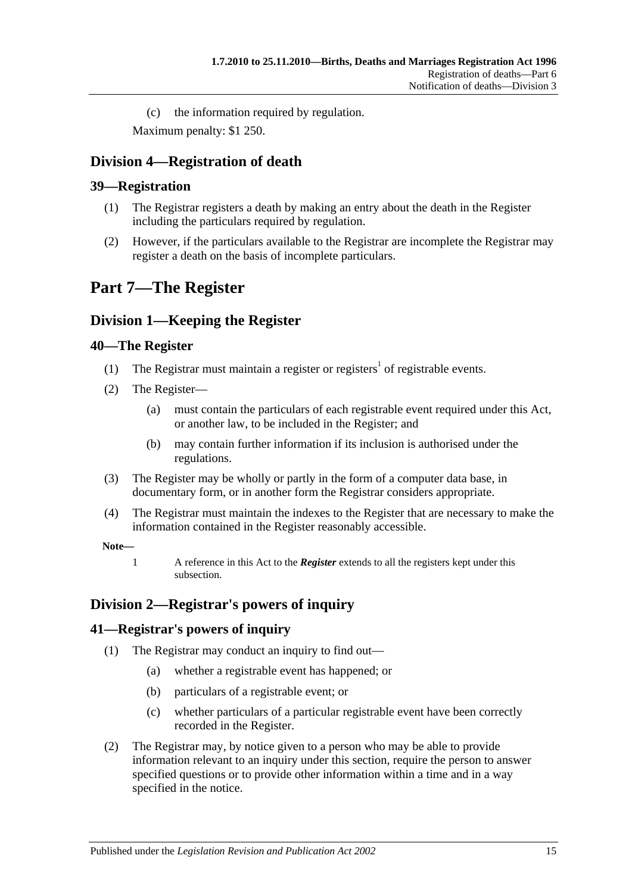(c) the information required by regulation.

Maximum penalty: \$1 250.

## <span id="page-14-0"></span>**Division 4—Registration of death**

### <span id="page-14-1"></span>**39—Registration**

- (1) The Registrar registers a death by making an entry about the death in the Register including the particulars required by regulation.
- (2) However, if the particulars available to the Registrar are incomplete the Registrar may register a death on the basis of incomplete particulars.

## <span id="page-14-2"></span>**Part 7—The Register**

## <span id="page-14-3"></span>**Division 1—Keeping the Register**

### <span id="page-14-4"></span>**40—The Register**

- (1) The Registrar must maintain a register or registers<sup>1</sup> of registrable events.
- <span id="page-14-7"></span>(2) The Register—
	- (a) must contain the particulars of each registrable event required under this Act, or another law, to be included in the Register; and
	- (b) may contain further information if its inclusion is authorised under the regulations.
- (3) The Register may be wholly or partly in the form of a computer data base, in documentary form, or in another form the Registrar considers appropriate.
- (4) The Registrar must maintain the indexes to the Register that are necessary to make the information contained in the Register reasonably accessible.

#### **Note—**

1 A reference in this Act to the *Register* extends to all the registers kept under this subsection.

## <span id="page-14-5"></span>**Division 2—Registrar's powers of inquiry**

### <span id="page-14-6"></span>**41—Registrar's powers of inquiry**

- (1) The Registrar may conduct an inquiry to find out—
	- (a) whether a registrable event has happened; or
	- (b) particulars of a registrable event; or
	- (c) whether particulars of a particular registrable event have been correctly recorded in the Register.
- <span id="page-14-8"></span>(2) The Registrar may, by notice given to a person who may be able to provide information relevant to an inquiry under this section, require the person to answer specified questions or to provide other information within a time and in a way specified in the notice.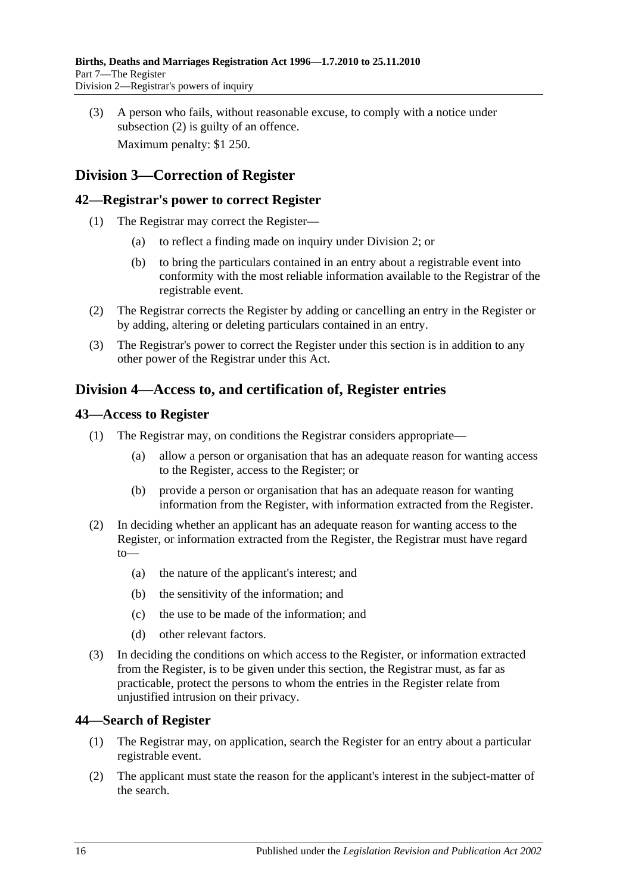(3) A person who fails, without reasonable excuse, to comply with a notice under [subsection](#page-14-8) (2) is guilty of an offence. Maximum penalty: \$1 250.

## <span id="page-15-0"></span>**Division 3—Correction of Register**

### <span id="page-15-1"></span>**42—Registrar's power to correct Register**

- (1) The Registrar may correct the Register—
	- (a) to reflect a finding made on inquiry under [Division 2;](#page-14-5) or
	- (b) to bring the particulars contained in an entry about a registrable event into conformity with the most reliable information available to the Registrar of the registrable event.
- (2) The Registrar corrects the Register by adding or cancelling an entry in the Register or by adding, altering or deleting particulars contained in an entry.
- (3) The Registrar's power to correct the Register under this section is in addition to any other power of the Registrar under this Act.

## <span id="page-15-2"></span>**Division 4—Access to, and certification of, Register entries**

### <span id="page-15-3"></span>**43—Access to Register**

- (1) The Registrar may, on conditions the Registrar considers appropriate—
	- (a) allow a person or organisation that has an adequate reason for wanting access to the Register, access to the Register; or
	- (b) provide a person or organisation that has an adequate reason for wanting information from the Register, with information extracted from the Register.
- (2) In deciding whether an applicant has an adequate reason for wanting access to the Register, or information extracted from the Register, the Registrar must have regard to—
	- (a) the nature of the applicant's interest; and
	- (b) the sensitivity of the information; and
	- (c) the use to be made of the information; and
	- (d) other relevant factors.
- (3) In deciding the conditions on which access to the Register, or information extracted from the Register, is to be given under this section, the Registrar must, as far as practicable, protect the persons to whom the entries in the Register relate from unjustified intrusion on their privacy.

### <span id="page-15-4"></span>**44—Search of Register**

- (1) The Registrar may, on application, search the Register for an entry about a particular registrable event.
- (2) The applicant must state the reason for the applicant's interest in the subject-matter of the search.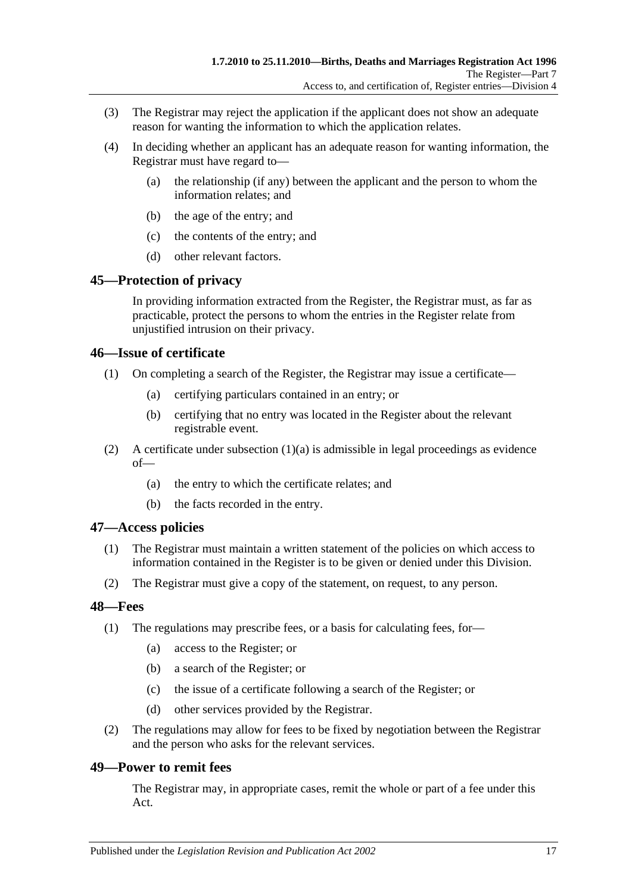- (3) The Registrar may reject the application if the applicant does not show an adequate reason for wanting the information to which the application relates.
- (4) In deciding whether an applicant has an adequate reason for wanting information, the Registrar must have regard to—
	- (a) the relationship (if any) between the applicant and the person to whom the information relates; and
	- (b) the age of the entry; and
	- (c) the contents of the entry; and
	- (d) other relevant factors.

### <span id="page-16-0"></span>**45—Protection of privacy**

In providing information extracted from the Register, the Registrar must, as far as practicable, protect the persons to whom the entries in the Register relate from unjustified intrusion on their privacy.

### <span id="page-16-1"></span>**46—Issue of certificate**

- <span id="page-16-5"></span>(1) On completing a search of the Register, the Registrar may issue a certificate—
	- (a) certifying particulars contained in an entry; or
	- (b) certifying that no entry was located in the Register about the relevant registrable event.
- (2) A certificate under [subsection](#page-16-5)  $(1)(a)$  is admissible in legal proceedings as evidence of—
	- (a) the entry to which the certificate relates; and
	- (b) the facts recorded in the entry.

### <span id="page-16-2"></span>**47—Access policies**

- (1) The Registrar must maintain a written statement of the policies on which access to information contained in the Register is to be given or denied under this Division.
- (2) The Registrar must give a copy of the statement, on request, to any person.

### <span id="page-16-3"></span>**48—Fees**

- (1) The regulations may prescribe fees, or a basis for calculating fees, for—
	- (a) access to the Register; or
	- (b) a search of the Register; or
	- (c) the issue of a certificate following a search of the Register; or
	- (d) other services provided by the Registrar.
- (2) The regulations may allow for fees to be fixed by negotiation between the Registrar and the person who asks for the relevant services.

### <span id="page-16-4"></span>**49—Power to remit fees**

The Registrar may, in appropriate cases, remit the whole or part of a fee under this Act.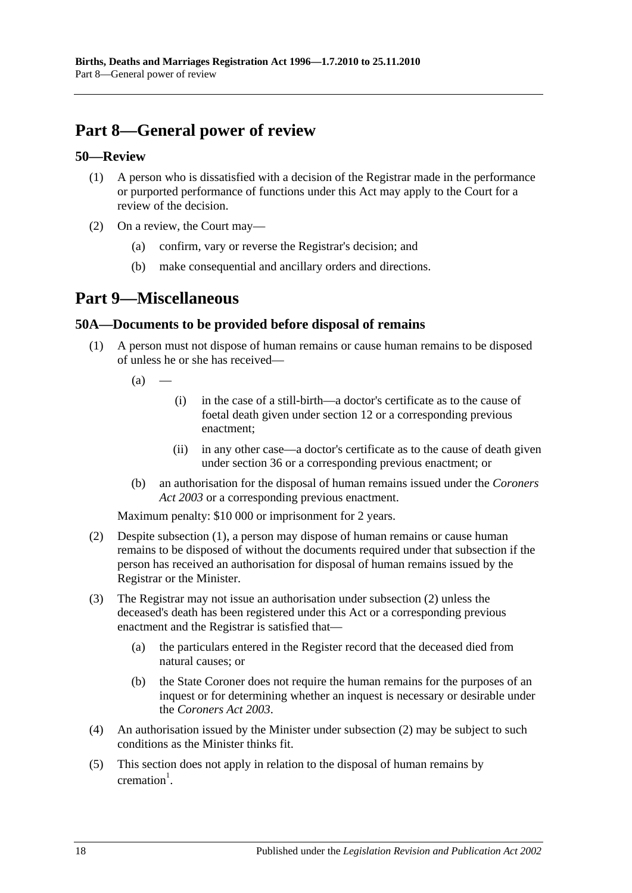# <span id="page-17-0"></span>**Part 8—General power of review**

### <span id="page-17-1"></span>**50—Review**

- (1) A person who is dissatisfied with a decision of the Registrar made in the performance or purported performance of functions under this Act may apply to the Court for a review of the decision.
- (2) On a review, the Court may
	- confirm, vary or reverse the Registrar's decision; and
	- (b) make consequential and ancillary orders and directions.

## <span id="page-17-2"></span>**Part 9—Miscellaneous**

### <span id="page-17-4"></span><span id="page-17-3"></span>**50A—Documents to be provided before disposal of remains**

- (1) A person must not dispose of human remains or cause human remains to be disposed of unless he or she has received—
	- $(a)$ 
		- (i) in the case of a still-birth—a doctor's certificate as to the cause of foetal death given under [section](#page-6-2) 12 or a corresponding previous enactment;
		- (ii) in any other case—a doctor's certificate as to the cause of death given under [section](#page-12-4) 36 or a corresponding previous enactment; or
	- (b) an authorisation for the disposal of human remains issued under the *[Coroners](http://www.legislation.sa.gov.au/index.aspx?action=legref&type=act&legtitle=Coroners%20Act%202003)  Act [2003](http://www.legislation.sa.gov.au/index.aspx?action=legref&type=act&legtitle=Coroners%20Act%202003)* or a corresponding previous enactment.

Maximum penalty: \$10 000 or imprisonment for 2 years.

- <span id="page-17-5"></span>(2) Despite [subsection](#page-17-4) (1), a person may dispose of human remains or cause human remains to be disposed of without the documents required under that subsection if the person has received an authorisation for disposal of human remains issued by the Registrar or the Minister.
- (3) The Registrar may not issue an authorisation under [subsection](#page-17-5) (2) unless the deceased's death has been registered under this Act or a corresponding previous enactment and the Registrar is satisfied that—
	- (a) the particulars entered in the Register record that the deceased died from natural causes; or
	- (b) the State Coroner does not require the human remains for the purposes of an inquest or for determining whether an inquest is necessary or desirable under the *[Coroners Act](http://www.legislation.sa.gov.au/index.aspx?action=legref&type=act&legtitle=Coroners%20Act%202003) 2003*.
- (4) An authorisation issued by the Minister under [subsection](#page-17-5) (2) may be subject to such conditions as the Minister thinks fit.
- (5) This section does not apply in relation to the disposal of human remains by  $c$ remation<sup>1</sup>.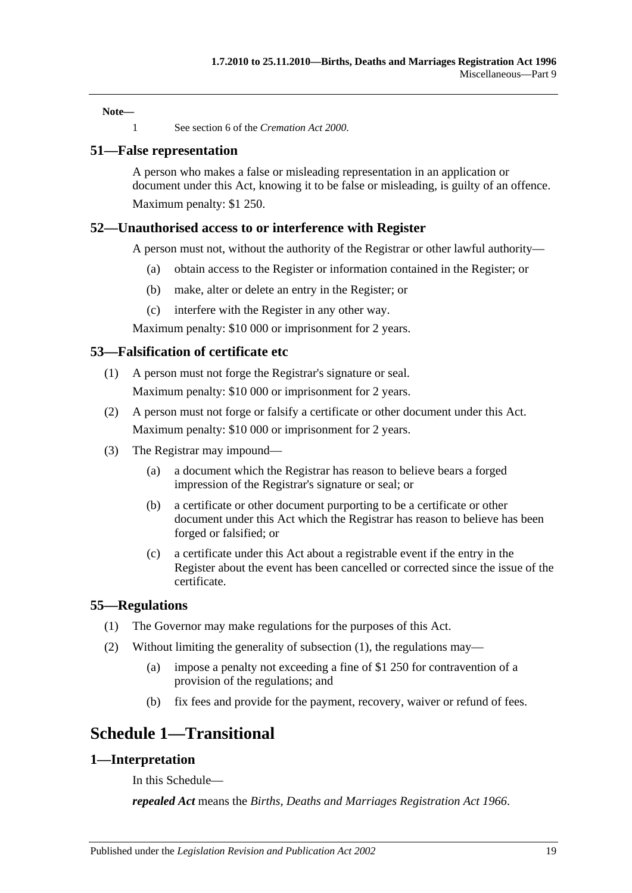**Note—**

1 See section 6 of the *[Cremation Act](http://www.legislation.sa.gov.au/index.aspx?action=legref&type=act&legtitle=Cremation%20Act%202000) 2000*.

### <span id="page-18-0"></span>**51—False representation**

A person who makes a false or misleading representation in an application or document under this Act, knowing it to be false or misleading, is guilty of an offence. Maximum penalty: \$1 250.

### <span id="page-18-1"></span>**52—Unauthorised access to or interference with Register**

A person must not, without the authority of the Registrar or other lawful authority—

- (a) obtain access to the Register or information contained in the Register; or
- (b) make, alter or delete an entry in the Register; or
- (c) interfere with the Register in any other way.

Maximum penalty: \$10 000 or imprisonment for 2 years.

### <span id="page-18-2"></span>**53—Falsification of certificate etc**

- (1) A person must not forge the Registrar's signature or seal. Maximum penalty: \$10 000 or imprisonment for 2 years.
- (2) A person must not forge or falsify a certificate or other document under this Act. Maximum penalty: \$10 000 or imprisonment for 2 years.
- (3) The Registrar may impound—
	- (a) a document which the Registrar has reason to believe bears a forged impression of the Registrar's signature or seal; or
	- (b) a certificate or other document purporting to be a certificate or other document under this Act which the Registrar has reason to believe has been forged or falsified; or
	- (c) a certificate under this Act about a registrable event if the entry in the Register about the event has been cancelled or corrected since the issue of the certificate.

#### <span id="page-18-6"></span><span id="page-18-3"></span>**55—Regulations**

- (1) The Governor may make regulations for the purposes of this Act.
- (2) Without limiting the generality of [subsection](#page-18-6) (1), the regulations may—
	- (a) impose a penalty not exceeding a fine of \$1 250 for contravention of a provision of the regulations; and
	- (b) fix fees and provide for the payment, recovery, waiver or refund of fees.

## <span id="page-18-4"></span>**Schedule 1—Transitional**

#### <span id="page-18-5"></span>**1—Interpretation**

In this Schedule—

*repealed Act* means the *[Births, Deaths and Marriages Registration Act](http://www.legislation.sa.gov.au/index.aspx?action=legref&type=act&legtitle=Births%20Deaths%20and%20Marriages%20Registration%20Act%201966) 1966*.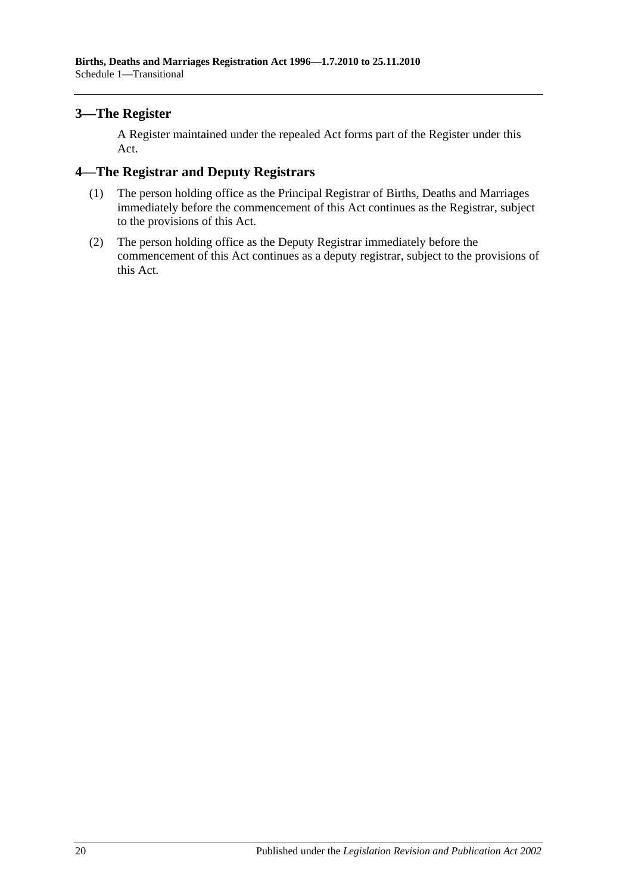### <span id="page-19-0"></span>**3—The Register**

A Register maintained under the repealed Act forms part of the Register under this Act.

### <span id="page-19-1"></span>**4—The Registrar and Deputy Registrars**

- (1) The person holding office as the Principal Registrar of Births, Deaths and Marriages immediately before the commencement of this Act continues as the Registrar, subject to the provisions of this Act.
- (2) The person holding office as the Deputy Registrar immediately before the commencement of this Act continues as a deputy registrar, subject to the provisions of this Act.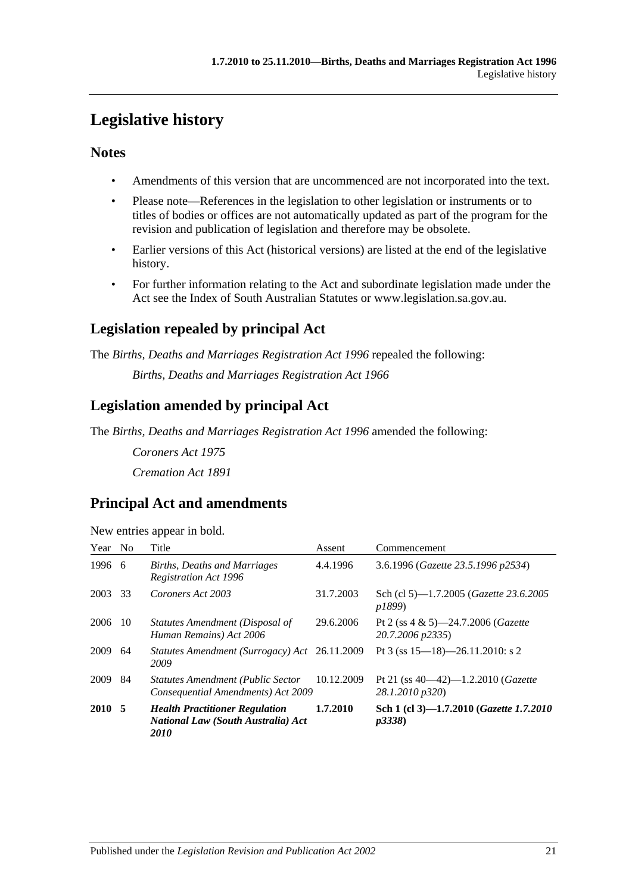# <span id="page-20-0"></span>**Legislative history**

## **Notes**

- Amendments of this version that are uncommenced are not incorporated into the text.
- Please note—References in the legislation to other legislation or instruments or to titles of bodies or offices are not automatically updated as part of the program for the revision and publication of legislation and therefore may be obsolete.
- Earlier versions of this Act (historical versions) are listed at the end of the legislative history.
- For further information relating to the Act and subordinate legislation made under the Act see the Index of South Australian Statutes or www.legislation.sa.gov.au.

## **Legislation repealed by principal Act**

The *Births, Deaths and Marriages Registration Act 1996* repealed the following:

*Births, Deaths and Marriages Registration Act 1966*

## **Legislation amended by principal Act**

The *Births, Deaths and Marriages Registration Act 1996* amended the following:

*Coroners Act 1975 Cremation Act 1891*

## **Principal Act and amendments**

| New entries appear in bold. |  |  |
|-----------------------------|--|--|
|                             |  |  |

| Year No |     | Title                                                                                             | Assent     | Commencement                                                       |
|---------|-----|---------------------------------------------------------------------------------------------------|------------|--------------------------------------------------------------------|
| 1996 6  |     | <b>Births, Deaths and Marriages</b><br><b>Registration Act 1996</b>                               | 4.4.1996   | 3.6.1996 (Gazette 23.5.1996 p2534)                                 |
| 2003    | 33  | Coroners Act 2003                                                                                 | 31.7.2003  | Sch (cl 5)-1.7.2005 (Gazette 23.6.2005<br><i>p1899</i> )           |
| 2006    | -10 | Statutes Amendment (Disposal of<br>Human Remains) Act 2006                                        | 29.6.2006  | Pt 2 (ss $4 \& 5$ )—24.7.2006 ( <i>Gazette</i><br>20.7.2006 p2335) |
| 2009    | 64  | Statutes Amendment (Surrogacy) Act 26.11.2009<br>2009                                             |            | Pt 3 (ss $15-18$ )-26.11.2010: s 2                                 |
| 2009    | 84  | <b>Statutes Amendment (Public Sector</b><br>Consequential Amendments) Act 2009                    | 10.12.2009 | Pt 21 (ss $40-42$ )-1.2.2010 ( <i>Gazette</i><br>28.1.2010 p320)   |
| 2010 5  |     | <b>Health Practitioner Regulation</b><br><b>National Law (South Australia) Act</b><br><i>2010</i> | 1.7.2010   | Sch 1 (cl 3)-1.7.2010 (Gazette 1.7.2010<br>p3338                   |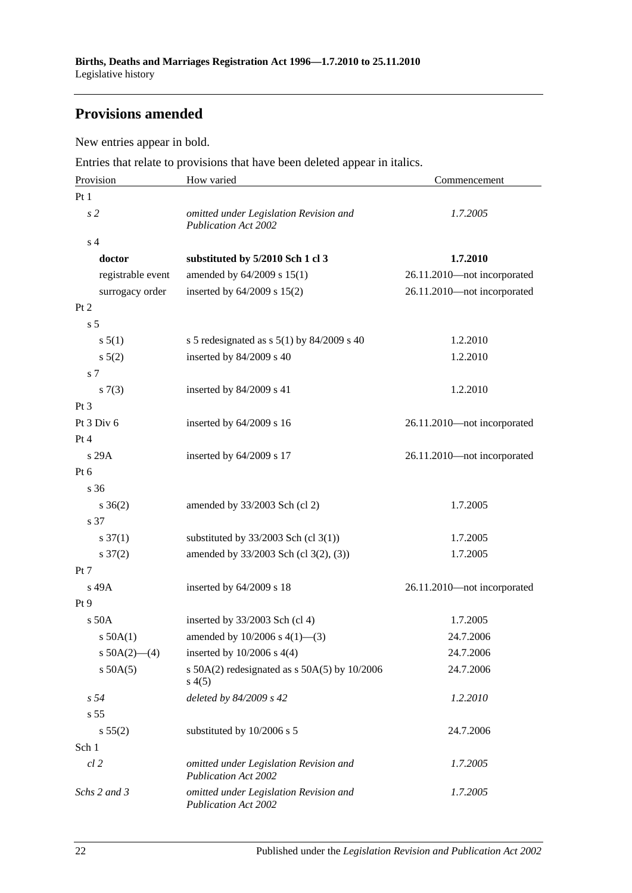## **Provisions amended**

New entries appear in bold.

Entries that relate to provisions that have been deleted appear in italics.

| Provision                                                                             | How varied                                                            | Commencement                |  |  |
|---------------------------------------------------------------------------------------|-----------------------------------------------------------------------|-----------------------------|--|--|
| Pt1                                                                                   |                                                                       |                             |  |  |
| s <sub>2</sub>                                                                        | omitted under Legislation Revision and<br><b>Publication Act 2002</b> | 1.7.2005                    |  |  |
| s <sub>4</sub>                                                                        |                                                                       |                             |  |  |
| doctor                                                                                | substituted by 5/2010 Sch 1 cl 3                                      | 1.7.2010                    |  |  |
| registrable event                                                                     | amended by 64/2009 s 15(1)                                            | 26.11.2010-not incorporated |  |  |
| surrogacy order                                                                       | inserted by $64/2009$ s $15(2)$                                       | 26.11.2010-not incorporated |  |  |
| Pt 2                                                                                  |                                                                       |                             |  |  |
| s <sub>5</sub>                                                                        |                                                                       |                             |  |  |
| s 5(1)                                                                                | s 5 redesignated as s $5(1)$ by 84/2009 s 40                          | 1.2.2010                    |  |  |
| $s \ 5(2)$                                                                            | inserted by 84/2009 s 40                                              | 1.2.2010                    |  |  |
| s 7                                                                                   |                                                                       |                             |  |  |
| s(7(3))                                                                               | inserted by 84/2009 s 41                                              | 1.2.2010                    |  |  |
| $Pt\,3$                                                                               |                                                                       |                             |  |  |
| Pt 3 Div 6                                                                            | inserted by $64/2009$ s 16                                            | 26.11.2010-not incorporated |  |  |
| Pt 4                                                                                  |                                                                       |                             |  |  |
| s 29A                                                                                 | inserted by $64/2009$ s 17                                            | 26.11.2010-not incorporated |  |  |
| Pt 6                                                                                  |                                                                       |                             |  |  |
| s <sub>36</sub>                                                                       |                                                                       |                             |  |  |
| $s \; 36(2)$                                                                          | amended by 33/2003 Sch (cl 2)                                         | 1.7.2005                    |  |  |
| s 37                                                                                  |                                                                       |                             |  |  |
| $s \frac{37(1)}{2}$                                                                   | substituted by $33/2003$ Sch (cl 3(1))                                | 1.7.2005                    |  |  |
| $s \frac{37(2)}{2}$                                                                   | amended by 33/2003 Sch (cl 3(2), (3))                                 | 1.7.2005                    |  |  |
| Pt 7                                                                                  |                                                                       |                             |  |  |
| s 49A                                                                                 | inserted by 64/2009 s 18                                              | 26.11.2010-not incorporated |  |  |
| Pt 9                                                                                  |                                                                       |                             |  |  |
| s 50A                                                                                 | inserted by $33/2003$ Sch (cl 4)                                      | 1.7.2005                    |  |  |
| $s$ 50A(1)                                                                            | amended by $10/2006$ s $4(1)$ —(3)                                    | 24.7.2006                   |  |  |
| s $50A(2)$ —(4)                                                                       | inserted by $10/2006$ s $4(4)$                                        | 24.7.2006                   |  |  |
| $s$ 50A(5)                                                                            | s $50A(2)$ redesignated as s $50A(5)$ by $10/2006$<br>s(4(5)          | 24.7.2006                   |  |  |
| s <sub>54</sub>                                                                       | deleted by 84/2009 s 42                                               | 1.2.2010                    |  |  |
| s <sub>55</sub>                                                                       |                                                                       |                             |  |  |
| s 55(2)                                                                               | substituted by 10/2006 s 5                                            | 24.7.2006                   |  |  |
| Sch 1                                                                                 |                                                                       |                             |  |  |
| $cl$ 2                                                                                | omitted under Legislation Revision and<br><b>Publication Act 2002</b> | 1.7.2005                    |  |  |
| Schs 2 and 3<br>omitted under Legislation Revision and<br><b>Publication Act 2002</b> |                                                                       | 1.7.2005                    |  |  |